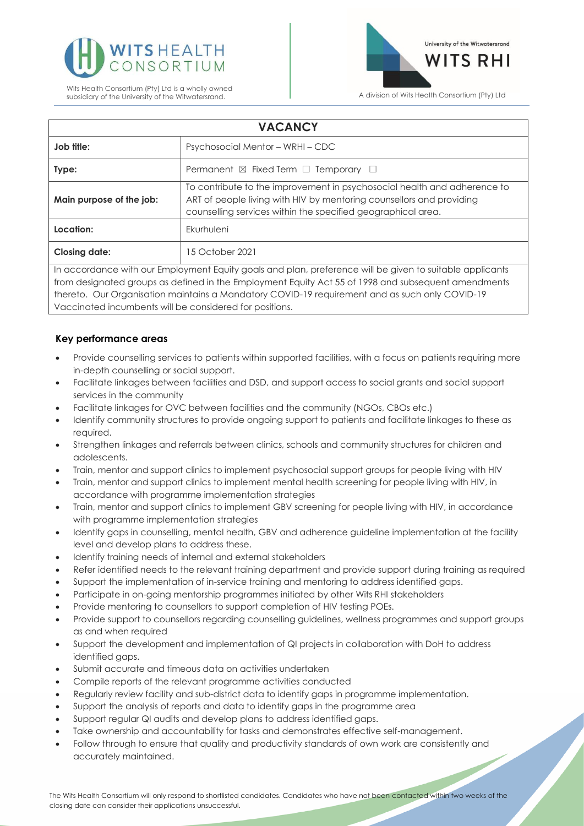



| <b>VACANCY</b>                                                                                                                                                                                                  |                                                                                                                                                                                                                  |
|-----------------------------------------------------------------------------------------------------------------------------------------------------------------------------------------------------------------|------------------------------------------------------------------------------------------------------------------------------------------------------------------------------------------------------------------|
| Job title:                                                                                                                                                                                                      | Psychosocial Mentor - WRHI - CDC                                                                                                                                                                                 |
| Type:                                                                                                                                                                                                           | Permanent $\boxtimes$ Fixed Term $\Box$ Temporary $\Box$                                                                                                                                                         |
| Main purpose of the job:                                                                                                                                                                                        | To contribute to the improvement in psychosocial health and adherence to<br>ART of people living with HIV by mentoring counsellors and providing<br>counselling services within the specified geographical area. |
| Location:                                                                                                                                                                                                       | Ekurhuleni                                                                                                                                                                                                       |
| <b>Closing date:</b>                                                                                                                                                                                            | 15 October 2021                                                                                                                                                                                                  |
| In accordance with our Employment Equity goals and plan, preference will be given to suitable applicants<br>from designated groups as defined in the Employment Equity Act 55 of 1998 and subsequent amendments |                                                                                                                                                                                                                  |

from designated groups as defined in the Employment Equity Act 55 of 1998 and subsequent amendments thereto. Our Organisation maintains a Mandatory COVID-19 requirement and as such only COVID-19 Vaccinated incumbents will be considered for positions.

## **Key performance areas**

- Provide counselling services to patients within supported facilities, with a focus on patients requiring more in-depth counselling or social support.
- Facilitate linkages between facilities and DSD, and support access to social grants and social support services in the community
- Facilitate linkages for OVC between facilities and the community (NGOs, CBOs etc.)
- Identify community structures to provide ongoing support to patients and facilitate linkages to these as required.
- Strengthen linkages and referrals between clinics, schools and community structures for children and adolescents.
- Train, mentor and support clinics to implement psychosocial support groups for people living with HIV
- Train, mentor and support clinics to implement mental health screening for people living with HIV, in accordance with programme implementation strategies
- Train, mentor and support clinics to implement GBV screening for people living with HIV, in accordance with programme implementation strategies
- Identify gaps in counselling, mental health, GBV and adherence guideline implementation at the facility level and develop plans to address these.
- Identify training needs of internal and external stakeholders
- Refer identified needs to the relevant training department and provide support during training as required
- Support the implementation of in-service training and mentoring to address identified gaps.
- Participate in on-going mentorship programmes initiated by other Wits RHI stakeholders
- Provide mentoring to counsellors to support completion of HIV testing POEs.
- Provide support to counsellors regarding counselling guidelines, wellness programmes and support groups as and when required
- Support the development and implementation of QI projects in collaboration with DoH to address identified gaps.
- Submit accurate and timeous data on activities undertaken
- Compile reports of the relevant programme activities conducted
- Regularly review facility and sub-district data to identify gaps in programme implementation.
- Support the analysis of reports and data to identify gaps in the programme area
- Support regular QI audits and develop plans to address identified gaps.
- Take ownership and accountability for tasks and demonstrates effective self-management.
- Follow through to ensure that quality and productivity standards of own work are consistently and accurately maintained.